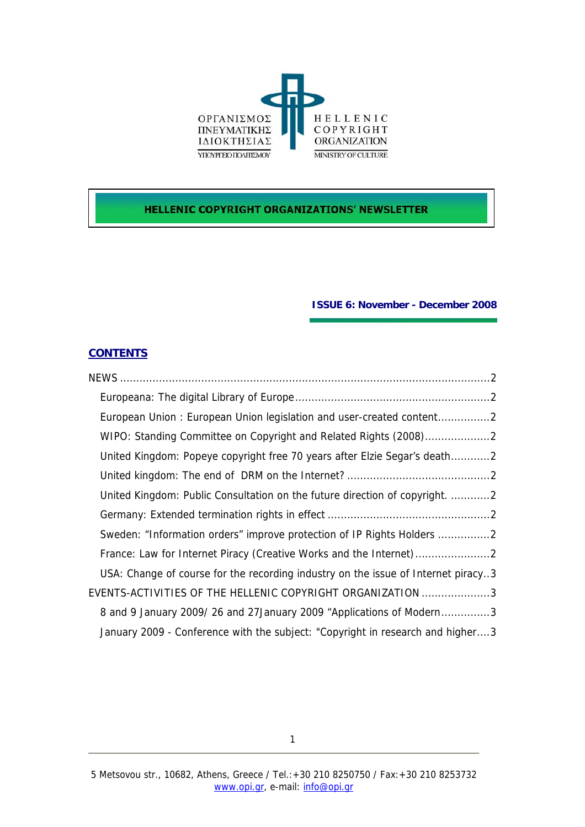

# **HELLENIC COPYRIGHT ORGANIZATIONS' NEWSLETTER**

## **ISSUE 6: November - December 2008**

# **CONTENTS**

| European Union: European Union legislation and user-created content2              |
|-----------------------------------------------------------------------------------|
| WIPO: Standing Committee on Copyright and Related Rights (2008)2                  |
| United Kingdom: Popeye copyright free 70 years after Elzie Segar's death2         |
|                                                                                   |
| United Kingdom: Public Consultation on the future direction of copyright. 2       |
|                                                                                   |
| Sweden: "Information orders" improve protection of IP Rights Holders 2            |
|                                                                                   |
| USA: Change of course for the recording industry on the issue of Internet piracy3 |
| EVENTS-ACTIVITIES OF THE HELLENIC COPYRIGHT ORGANIZATION 3                        |
| 8 and 9 January 2009/26 and 27 January 2009 "Applications of Modern3              |
| January 2009 - Conference with the subject: "Copyright in research and higher3    |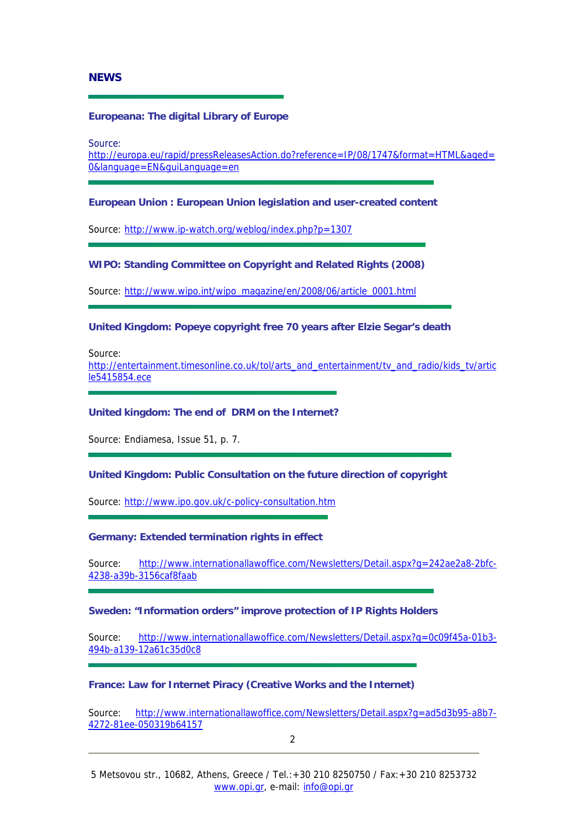## <span id="page-1-0"></span>**NEWS**

### **Europeana: The digital Library of Europe**

Source:

[http://europa.eu/rapid/pressReleasesAction.do?reference=IP/08/1747&format=HTML&aged=](http://europa.eu/rapid/pressReleasesAction.do?reference=IP/08/1747&format=HTML&aged=0&language=EN&guiLanguage=en) [0&language=EN&guiLanguage=en](http://europa.eu/rapid/pressReleasesAction.do?reference=IP/08/1747&format=HTML&aged=0&language=EN&guiLanguage=en)

### **European Union : European Union legislation and user-created content**

Source: <http://www.ip-watch.org/weblog/index.php?p=1307>

### **WIPO: Standing Committee on Copyright and Related Rights (2008)**

Source: [http://www.wipo.int/wipo\\_magazine/en/2008/06/article\\_0001.html](http://www.wipo.int/wipo_magazine/en/2008/06/article_0001.html)

## **United Kingdom: Popeye copyright free 70 years after Elzie Segar's death**

Source:

[http://entertainment.timesonline.co.uk/tol/arts\\_and\\_entertainment/tv\\_and\\_radio/kids\\_tv/artic](http://entertainment.timesonline.co.uk/tol/arts_and_entertainment/tv_and_radio/kids_tv/article5415854.ece) [le5415854.ece](http://entertainment.timesonline.co.uk/tol/arts_and_entertainment/tv_and_radio/kids_tv/article5415854.ece)

### **United kingdom: The end of DRM on the Internet?**

Source: Endiamesa, Issue 51, p. 7.

### **United Kingdom: Public Consultation on the future direction of copyright**

Source: <http://www.ipo.gov.uk/c-policy-consultation.htm>

### **Germany: Extended termination rights in effect**

Source: [http://www.internationallawoffice.com/Newsletters/Detail.aspx?g=242ae2a8-2bfc-](http://www.internationallawoffice.com/Newsletters/Detail.aspx?g=242ae2a8-2bfc-4238-a39b-3156caf8faab)[4238-a39b-3156caf8faab](http://www.internationallawoffice.com/Newsletters/Detail.aspx?g=242ae2a8-2bfc-4238-a39b-3156caf8faab)

## **Sweden: "Information orders" improve protection of IP Rights Holders**

Source: [http://www.internationallawoffice.com/Newsletters/Detail.aspx?g=0c09f45a-01b3-](http://www.internationallawoffice.com/Newsletters/Detail.aspx?g=0c09f45a-01b3-494b-a139-12a61c35d0c8) [494b-a139-12a61c35d0c8](http://www.internationallawoffice.com/Newsletters/Detail.aspx?g=0c09f45a-01b3-494b-a139-12a61c35d0c8)

## **France: Law for Internet Piracy (Creative Works and the Internet)**

Source: [http://www.internationallawoffice.com/Newsletters/Detail.aspx?g=ad5d3b95-a8b7-](http://www.internationallawoffice.com/Newsletters/Detail.aspx?g=ad5d3b95-a8b7-4272-81ee-050319b64157) [4272-81ee-050319b64157](http://www.internationallawoffice.com/Newsletters/Detail.aspx?g=ad5d3b95-a8b7-4272-81ee-050319b64157)

2 and 2 and 2 and 2 and 2 and 2 and 2 and 2 and 2 and 2 and 2 and 2 and 2 and 2 and 2 and 2 and 2 and 2 and 2